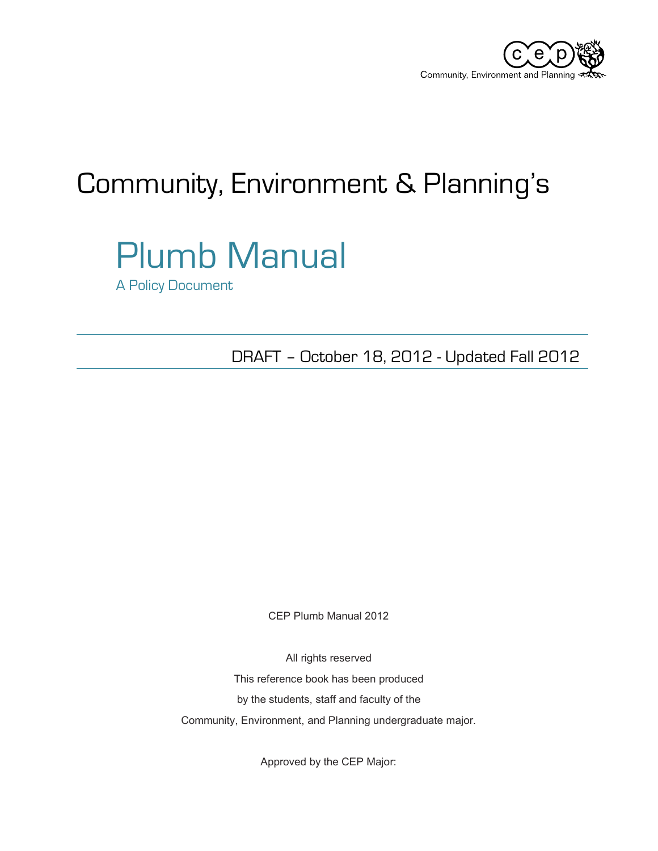

## Community, Environment & Planning's

# Plumb Manual

A Policy Document

DRAFT – October 18, 2012 - Updated Fall 2012

CEP Plumb Manual 2012

All rights reserved This reference book has been produced by the students, staff and faculty of the Community, Environment, and Planning undergraduate major.

Approved by the CEP Major: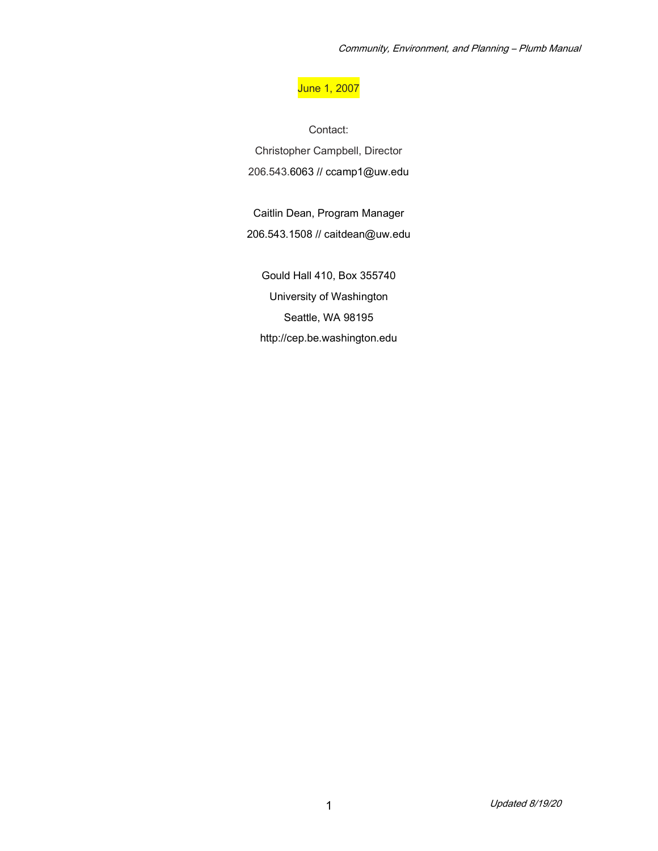#### June 1, 2007

Contact: Christopher Campbell, Director 206.543.6063 // ccamp1@uw.edu

Caitlin Dean, Program Manager 206.543.1508 // caitdean@uw.edu

Gould Hall 410, Box 355740 University of Washington Seattle, WA 98195 http://cep.be.washington.edu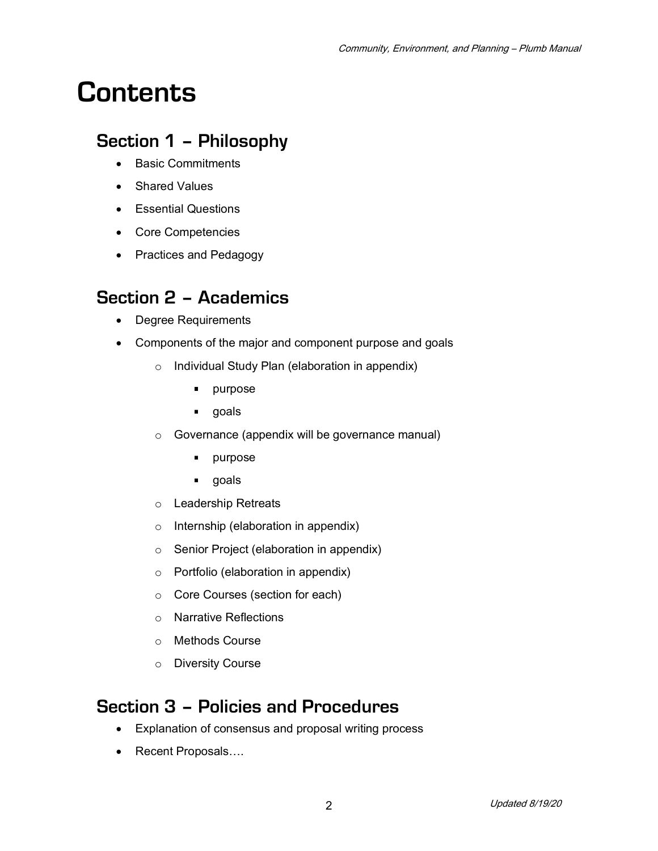## **Contents**

## **Section 1 – Philosophy**

- Basic Commitments
- Shared Values
- Essential Questions
- Core Competencies
- Practices and Pedagogy

## **Section 2 – Academics**

- Degree Requirements
- Components of the major and component purpose and goals
	- o Individual Study Plan (elaboration in appendix)
		- $\blacksquare$ purpose
		- **goals**
	- o Governance (appendix will be governance manual)
		- $\blacksquare$ purpose
		- **goals**
	- o Leadership Retreats
	- o Internship (elaboration in appendix)
	- o Senior Project (elaboration in appendix)
	- o Portfolio (elaboration in appendix)
	- o Core Courses (section for each)
	- o Narrative Reflections
	- o Methods Course
	- o Diversity Course

## **Section 3 – Policies and Procedures**

- Explanation of consensus and proposal writing process
- Recent Proposals….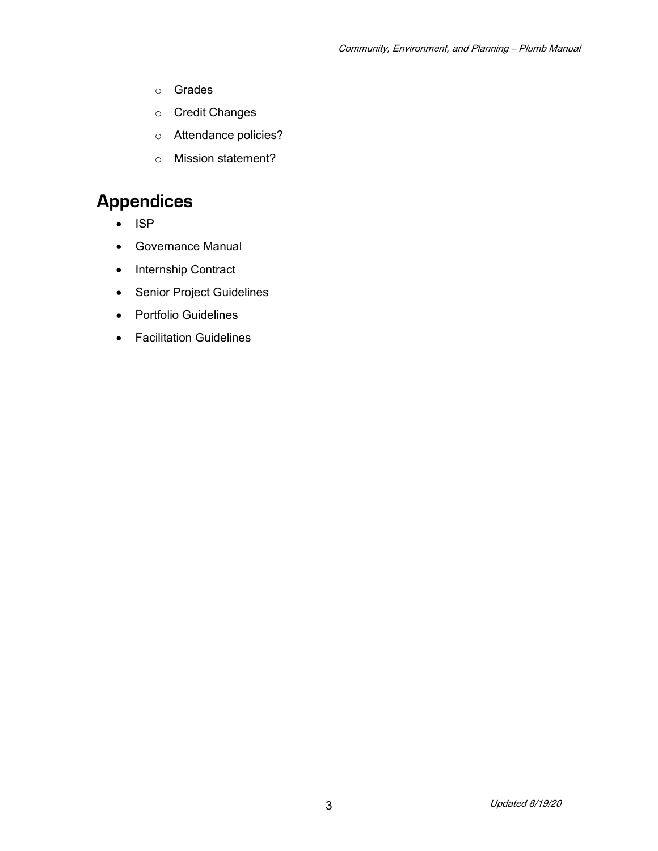- o Grades
- o Credit Changes
- o Attendance policies?
- o Mission statement?

## **Appendices**

- ISP
- Governance Manual
- Internship Contract
- Senior Project Guidelines
- Portfolio Guidelines
- Facilitation Guidelines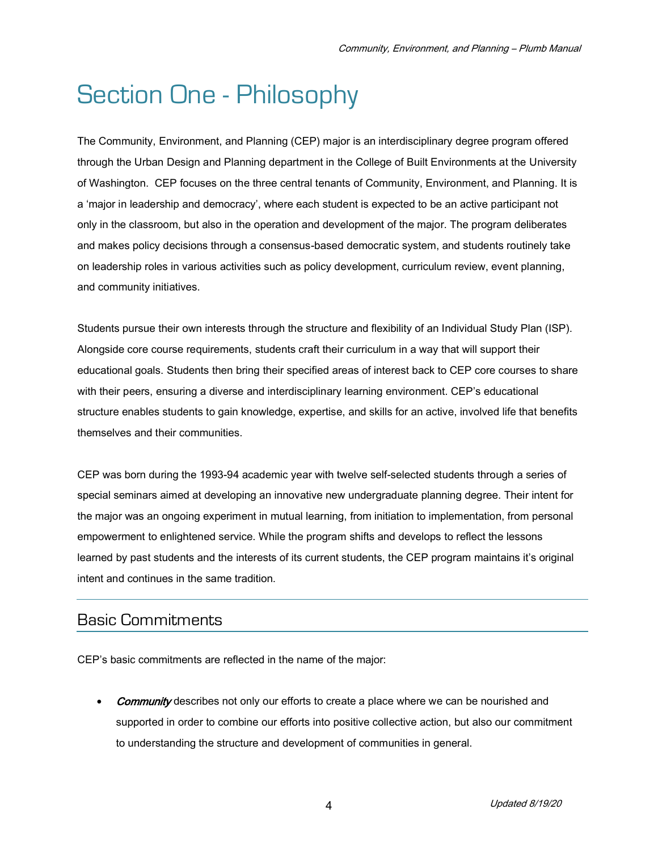## Section One - Philosophy

The Community, Environment, and Planning (CEP) major is an interdisciplinary degree program offered through the Urban Design and Planning department in the College of Built Environments at the University of Washington. CEP focuses on the three central tenants of Community, Environment, and Planning. It is a 'major in leadership and democracy', where each student is expected to be an active participant not only in the classroom, but also in the operation and development of the major. The program deliberates and makes policy decisions through a consensus-based democratic system, and students routinely take on leadership roles in various activities such as policy development, curriculum review, event planning, and community initiatives.

Students pursue their own interests through the structure and flexibility of an Individual Study Plan (ISP). Alongside core course requirements, students craft their curriculum in a way that will support their educational goals. Students then bring their specified areas of interest back to CEP core courses to share with their peers, ensuring a diverse and interdisciplinary learning environment. CEP's educational structure enables students to gain knowledge, expertise, and skills for an active, involved life that benefits themselves and their communities.

CEP was born during the 1993-94 academic year with twelve self-selected students through a series of special seminars aimed at developing an innovative new undergraduate planning degree. Their intent for the major was an ongoing experiment in mutual learning, from initiation to implementation, from personal empowerment to enlightened service. While the program shifts and develops to reflect the lessons learned by past students and the interests of its current students, the CEP program maintains it's original intent and continues in the same tradition.

## Basic Commitments

CEP's basic commitments are reflected in the name of the major:

**Community** describes not only our efforts to create a place where we can be nourished and supported in order to combine our efforts into positive collective action, but also our commitment to understanding the structure and development of communities in general.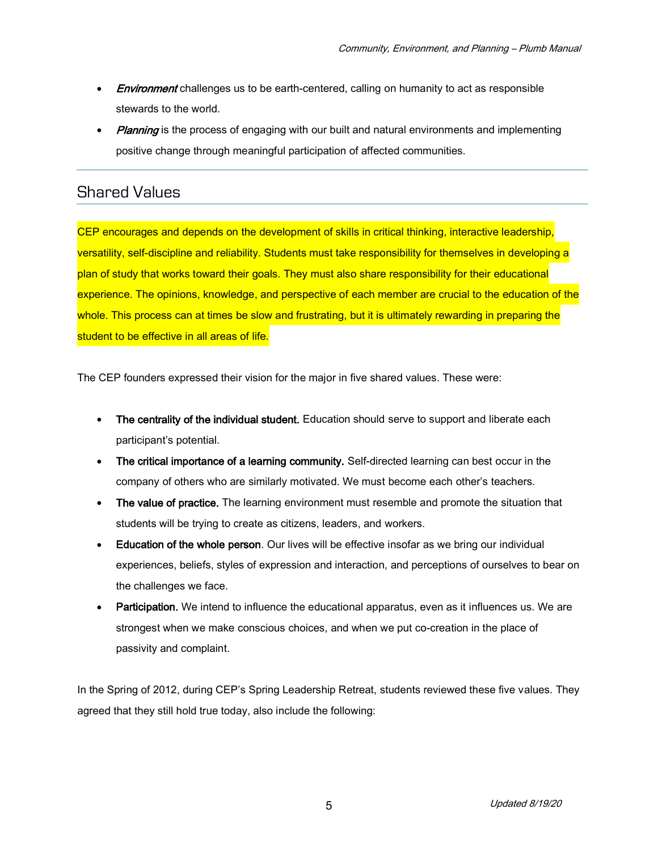- **Environment** challenges us to be earth-centered, calling on humanity to act as responsible stewards to the world.
- **Planning** is the process of engaging with our built and natural environments and implementing positive change through meaningful participation of affected communities.

### Shared Values

CEP encourages and depends on the development of skills in critical thinking, interactive leadership, versatility, self-discipline and reliability. Students must take responsibility for themselves in developing a plan of study that works toward their goals. They must also share responsibility for their educational experience. The opinions, knowledge, and perspective of each member are crucial to the education of the whole. This process can at times be slow and frustrating, but it is ultimately rewarding in preparing the student to be effective in all areas of life.

The CEP founders expressed their vision for the major in five shared values. These were:

- The centrality of the individual student. Education should serve to support and liberate each participant's potential.
- The critical importance of a learning community. Self-directed learning can best occur in the company of others who are similarly motivated. We must become each other's teachers.
- The value of practice. The learning environment must resemble and promote the situation that students will be trying to create as citizens, leaders, and workers.
- **Education of the whole person**. Our lives will be effective insofar as we bring our individual experiences, beliefs, styles of expression and interaction, and perceptions of ourselves to bear on the challenges we face.
- **Participation.** We intend to influence the educational apparatus, even as it influences us. We are strongest when we make conscious choices, and when we put co-creation in the place of passivity and complaint.

In the Spring of 2012, during CEP's Spring Leadership Retreat, students reviewed these five values. They agreed that they still hold true today, also include the following: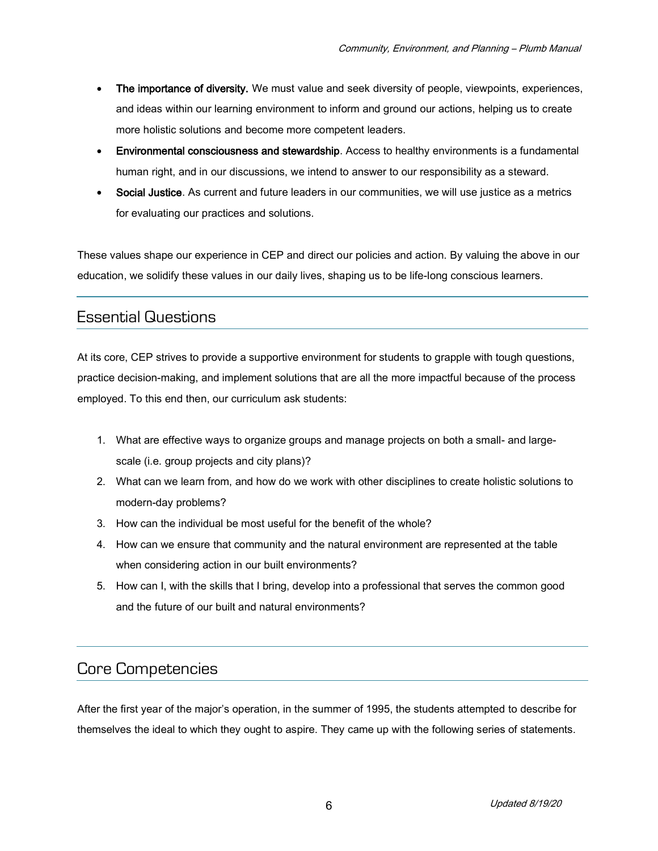- The importance of diversity. We must value and seek diversity of people, viewpoints, experiences, and ideas within our learning environment to inform and ground our actions, helping us to create more holistic solutions and become more competent leaders.
- Environmental consciousness and stewardship. Access to healthy environments is a fundamental human right, and in our discussions, we intend to answer to our responsibility as a steward.
- Social Justice. As current and future leaders in our communities, we will use justice as a metrics for evaluating our practices and solutions.

These values shape our experience in CEP and direct our policies and action. By valuing the above in our education, we solidify these values in our daily lives, shaping us to be life-long conscious learners.

### Essential Questions

At its core, CEP strives to provide a supportive environment for students to grapple with tough questions, practice decision-making, and implement solutions that are all the more impactful because of the process employed. To this end then, our curriculum ask students:

- 1. What are effective ways to organize groups and manage projects on both a small- and largescale (i.e. group projects and city plans)?
- 2. What can we learn from, and how do we work with other disciplines to create holistic solutions to modern-day problems?
- 3. How can the individual be most useful for the benefit of the whole?
- 4. How can we ensure that community and the natural environment are represented at the table when considering action in our built environments?
- 5. How can I, with the skills that I bring, develop into a professional that serves the common good and the future of our built and natural environments?

## Core Competencies

After the first year of the major's operation, in the summer of 1995, the students attempted to describe for themselves the ideal to which they ought to aspire. They came up with the following series of statements.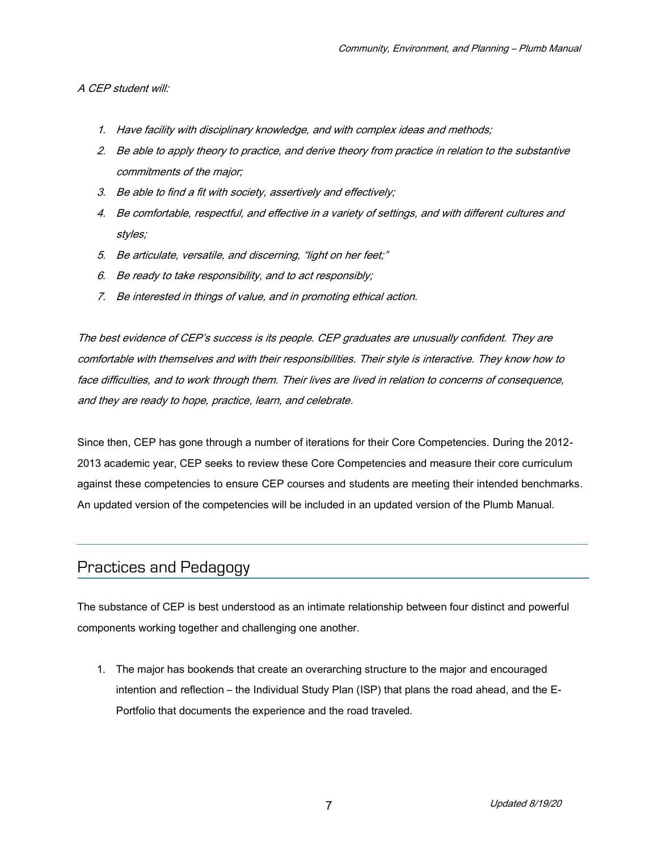#### A CEP student will:

- 1. Have facility with disciplinary knowledge, and with complex ideas and methods;
- 2. Be able to apply theory to practice, and derive theory from practice in relation to the substantive commitments of the major;
- 3. Be able to find a fit with society, assertively and effectively;
- 4. Be comfortable, respectful, and effective in a variety of settings, and with different cultures and styles;
- 5. Be articulate, versatile, and discerning, "light on her feet;"
- 6. Be ready to take responsibility, and to act responsibly;
- 7. Be interested in things of value, and in promoting ethical action.

The best evidence of CEP's success is its people. CEP graduates are unusually confident. They are comfortable with themselves and with their responsibilities. Their style is interactive. They know how to face difficulties, and to work through them. Their lives are lived in relation to concerns of consequence, and they are ready to hope, practice, learn, and celebrate.

Since then, CEP has gone through a number of iterations for their Core Competencies. During the 2012- 2013 academic year, CEP seeks to review these Core Competencies and measure their core curriculum against these competencies to ensure CEP courses and students are meeting their intended benchmarks. An updated version of the competencies will be included in an updated version of the Plumb Manual.

## Practices and Pedagogy

The substance of CEP is best understood as an intimate relationship between four distinct and powerful components working together and challenging one another.

1. The major has bookends that create an overarching structure to the major and encouraged intention and reflection – the Individual Study Plan (ISP) that plans the road ahead, and the E-Portfolio that documents the experience and the road traveled.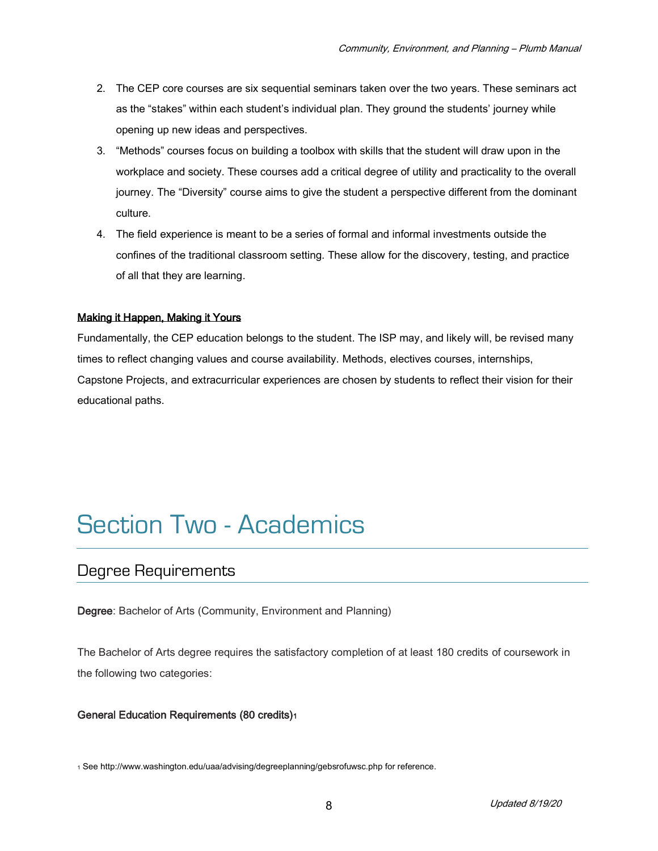- 2. The CEP core courses are six sequential seminars taken over the two years. These seminars act as the "stakes" within each student's individual plan. They ground the students' journey while opening up new ideas and perspectives.
- 3. "Methods" courses focus on building a toolbox with skills that the student will draw upon in the workplace and society. These courses add a critical degree of utility and practicality to the overall journey. The "Diversity" course aims to give the student a perspective different from the dominant culture.
- 4. The field experience is meant to be a series of formal and informal investments outside the confines of the traditional classroom setting. These allow for the discovery, testing, and practice of all that they are learning.

#### Making it Happen, Making it Yours

Fundamentally, the CEP education belongs to the student. The ISP may, and likely will, be revised many times to reflect changing values and course availability. Methods, electives courses, internships, Capstone Projects, and extracurricular experiences are chosen by students to reflect their vision for their educational paths.

## Section Two - Academics

### Degree Requirements

Degree: Bachelor of Arts (Community, Environment and Planning)

The Bachelor of Arts degree requires the satisfactory completion of at least 180 credits of coursework in the following two categories:

#### General Education Requirements (80 credits)<sup>1</sup>

<sup>1</sup> See http://www.washington.edu/uaa/advising/degreeplanning/gebsrofuwsc.php for reference.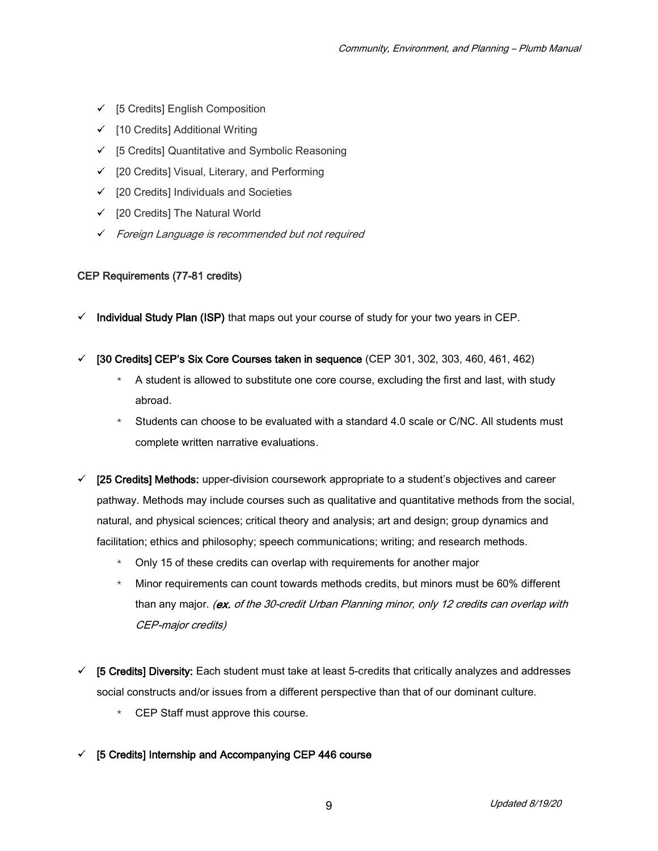- $\checkmark$  [5 Credits] English Composition
- $\checkmark$  [10 Credits] Additional Writing
- $\checkmark$  [5 Credits] Quantitative and Symbolic Reasoning
- $\checkmark$  [20 Credits] Visual, Literary, and Performing
- $\checkmark$  [20 Credits] Individuals and Societies
- $\checkmark$  [20 Credits] The Natural World
- Foreign Language is recommended but not required

#### CEP Requirements (77-81 credits)

- Individual Study Plan (ISP) that maps out your course of study for your two years in CEP.
- $\checkmark$  [30 Credits] CEP's Six Core Courses taken in sequence (CEP 301, 302, 303, 460, 461, 462)
	- A student is allowed to substitute one core course, excluding the first and last, with study abroad.
	- Students can choose to be evaluated with a standard 4.0 scale or C/NC. All students must complete written narrative evaluations.
- $\checkmark$  [25 Credits] Methods: upper-division coursework appropriate to a student's objectives and career pathway. Methods may include courses such as qualitative and quantitative methods from the social, natural, and physical sciences; critical theory and analysis; art and design; group dynamics and facilitation; ethics and philosophy; speech communications; writing; and research methods.
	- \* Only 15 of these credits can overlap with requirements for another major
	- \* Minor requirements can count towards methods credits, but minors must be 60% different than any major. (ex. of the 30-credit Urban Planning minor, only 12 credits can overlap with CEP-major credits)
- $\checkmark$  [5 Credits] Diversity: Each student must take at least 5-credits that critically analyzes and addresses social constructs and/or issues from a different perspective than that of our dominant culture.
	- \* CEP Staff must approve this course.
- $\checkmark$  [5 Credits] Internship and Accompanying CEP 446 course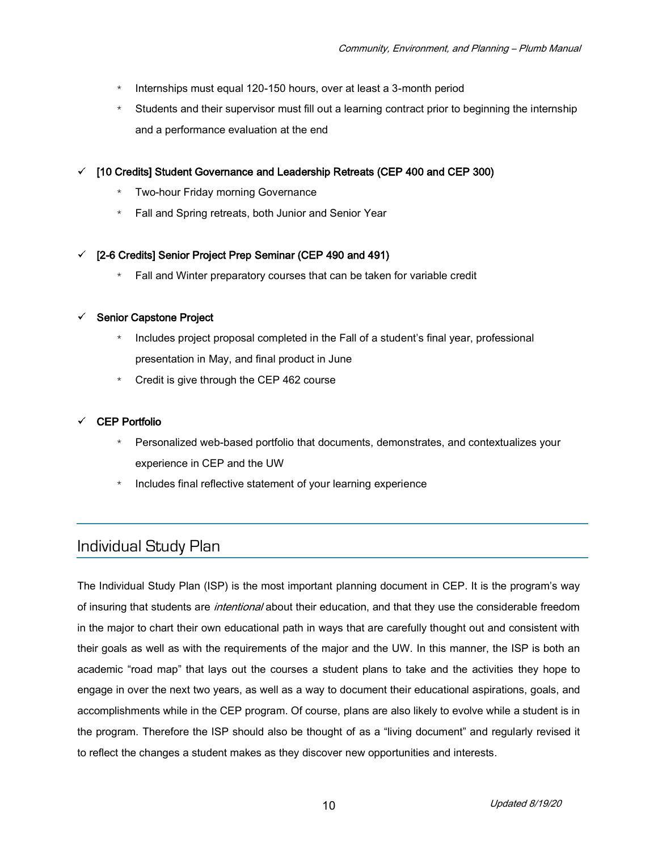- \* Internships must equal 120-150 hours, over at least a 3-month period
- \* Students and their supervisor must fill out a learning contract prior to beginning the internship and a performance evaluation at the end
- $\checkmark$  [10 Credits] Student Governance and Leadership Retreats (CEP 400 and CEP 300)
	- Two-hour Friday morning Governance
	- Fall and Spring retreats, both Junior and Senior Year

#### $\checkmark$  [2-6 Credits] Senior Project Prep Seminar (CEP 490 and 491)

\* Fall and Winter preparatory courses that can be taken for variable credit

#### $\checkmark$  Senior Capstone Project

- Includes project proposal completed in the Fall of a student's final year, professional presentation in May, and final product in June
- $*$  Credit is give through the CEP 462 course

#### CEP Portfolio

- \* Personalized web-based portfolio that documents, demonstrates, and contextualizes your experience in CEP and the UW
- \* Includes final reflective statement of your learning experience

## Individual Study Plan

The Individual Study Plan (ISP) is the most important planning document in CEP. It is the program's way of insuring that students are *intentional* about their education, and that they use the considerable freedom in the major to chart their own educational path in ways that are carefully thought out and consistent with their goals as well as with the requirements of the major and the UW. In this manner, the ISP is both an academic "road map" that lays out the courses a student plans to take and the activities they hope to engage in over the next two years, as well as a way to document their educational aspirations, goals, and accomplishments while in the CEP program. Of course, plans are also likely to evolve while a student is in the program. Therefore the ISP should also be thought of as a "living document" and regularly revised it to reflect the changes a student makes as they discover new opportunities and interests.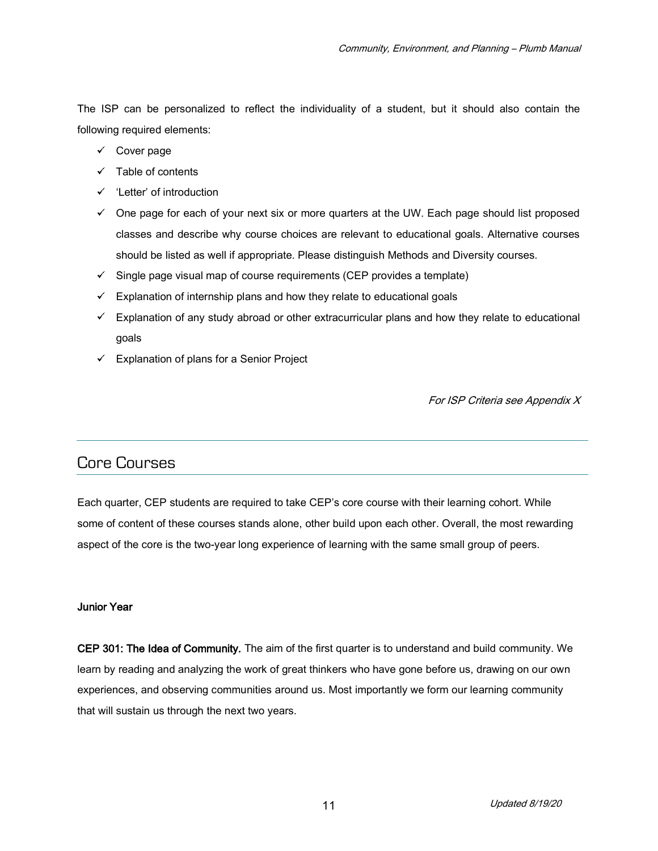The ISP can be personalized to reflect the individuality of a student, but it should also contain the following required elements:

- $\checkmark$  Cover page
- $\checkmark$  Table of contents
- $\checkmark$  'Letter' of introduction
- $\checkmark$  One page for each of your next six or more quarters at the UW. Each page should list proposed classes and describe why course choices are relevant to educational goals. Alternative courses should be listed as well if appropriate. Please distinguish Methods and Diversity courses.
- $\checkmark$  Single page visual map of course requirements (CEP provides a template)
- $\checkmark$  Explanation of internship plans and how they relate to educational goals
- $\checkmark$  Explanation of any study abroad or other extracurricular plans and how they relate to educational goals
- $\checkmark$  Explanation of plans for a Senior Project

For ISP Criteria see Appendix X

## Core Courses

Each quarter, CEP students are required to take CEP's core course with their learning cohort. While some of content of these courses stands alone, other build upon each other. Overall, the most rewarding aspect of the core is the two-year long experience of learning with the same small group of peers.

#### Junior Year

CEP 301: The Idea of Community. The aim of the first quarter is to understand and build community. We learn by reading and analyzing the work of great thinkers who have gone before us, drawing on our own experiences, and observing communities around us. Most importantly we form our learning community that will sustain us through the next two years.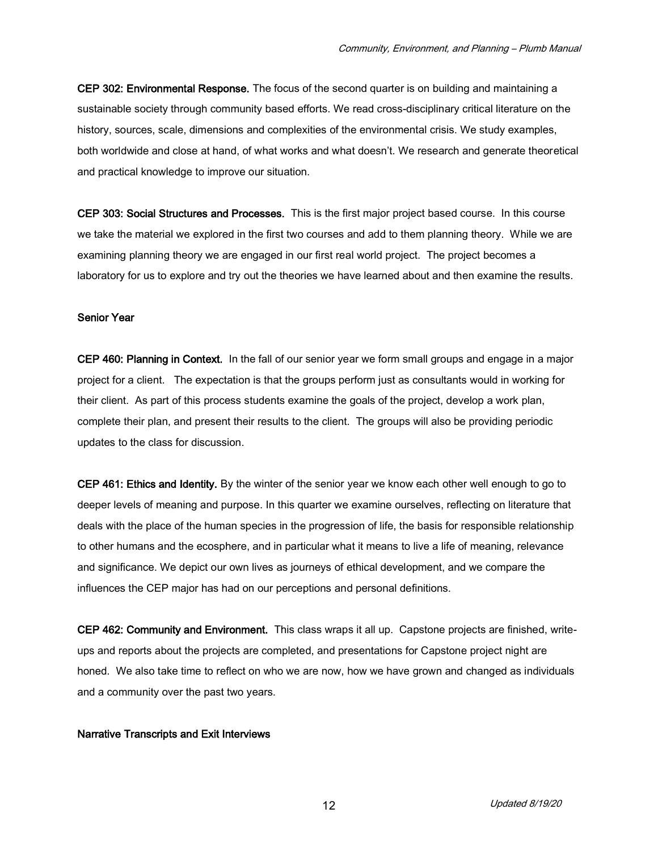CEP 302: Environmental Response. The focus of the second quarter is on building and maintaining a sustainable society through community based efforts. We read cross-disciplinary critical literature on the history, sources, scale, dimensions and complexities of the environmental crisis. We study examples, both worldwide and close at hand, of what works and what doesn't. We research and generate theoretical and practical knowledge to improve our situation.

CEP 303: Social Structures and Processes. This is the first major project based course. In this course we take the material we explored in the first two courses and add to them planning theory. While we are examining planning theory we are engaged in our first real world project. The project becomes a laboratory for us to explore and try out the theories we have learned about and then examine the results.

#### Senior Year

CEP 460: Planning in Context. In the fall of our senior year we form small groups and engage in a major project for a client. The expectation is that the groups perform just as consultants would in working for their client. As part of this process students examine the goals of the project, develop a work plan, complete their plan, and present their results to the client. The groups will also be providing periodic updates to the class for discussion.

CEP 461: Ethics and Identity. By the winter of the senior year we know each other well enough to go to deeper levels of meaning and purpose. In this quarter we examine ourselves, reflecting on literature that deals with the place of the human species in the progression of life, the basis for responsible relationship to other humans and the ecosphere, and in particular what it means to live a life of meaning, relevance and significance. We depict our own lives as journeys of ethical development, and we compare the influences the CEP major has had on our perceptions and personal definitions.

CEP 462: Community and Environment. This class wraps it all up. Capstone projects are finished, writeups and reports about the projects are completed, and presentations for Capstone project night are honed. We also take time to reflect on who we are now, how we have grown and changed as individuals and a community over the past two years.

#### Narrative Transcripts and Exit Interviews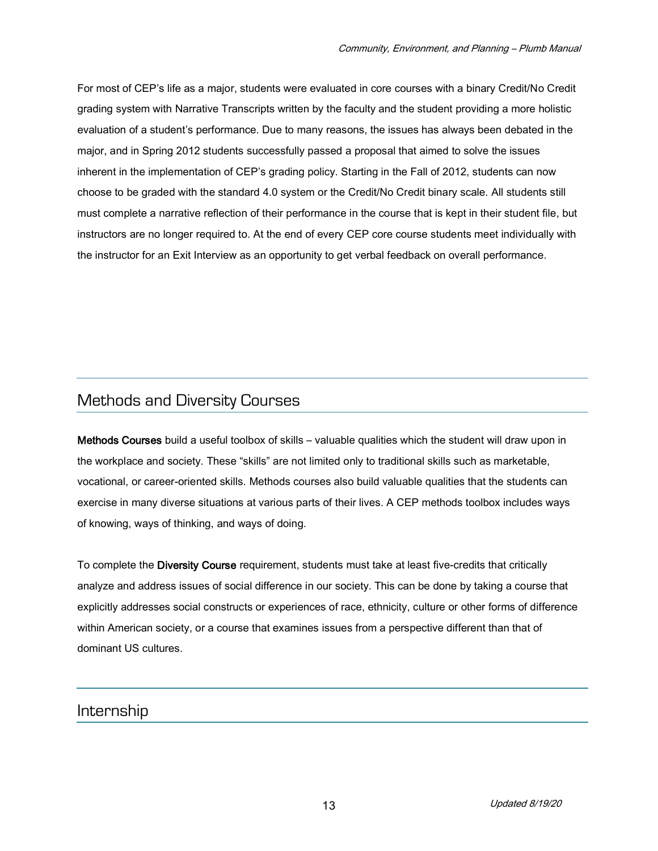For most of CEP's life as a major, students were evaluated in core courses with a binary Credit/No Credit grading system with Narrative Transcripts written by the faculty and the student providing a more holistic evaluation of a student's performance. Due to many reasons, the issues has always been debated in the major, and in Spring 2012 students successfully passed a proposal that aimed to solve the issues inherent in the implementation of CEP's grading policy. Starting in the Fall of 2012, students can now choose to be graded with the standard 4.0 system or the Credit/No Credit binary scale. All students still must complete a narrative reflection of their performance in the course that is kept in their student file, but instructors are no longer required to. At the end of every CEP core course students meet individually with the instructor for an Exit Interview as an opportunity to get verbal feedback on overall performance.

## Methods and Diversity Courses

Methods Courses build a useful toolbox of skills – valuable qualities which the student will draw upon in the workplace and society. These "skills" are not limited only to traditional skills such as marketable, vocational, or career-oriented skills. Methods courses also build valuable qualities that the students can exercise in many diverse situations at various parts of their lives. A CEP methods toolbox includes ways of knowing, ways of thinking, and ways of doing.

To complete the Diversity Course requirement, students must take at least five-credits that critically analyze and address issues of social difference in our society. This can be done by taking a course that explicitly addresses social constructs or experiences of race, ethnicity, culture or other forms of difference within American society, or a course that examines issues from a perspective different than that of dominant US cultures.

### Internship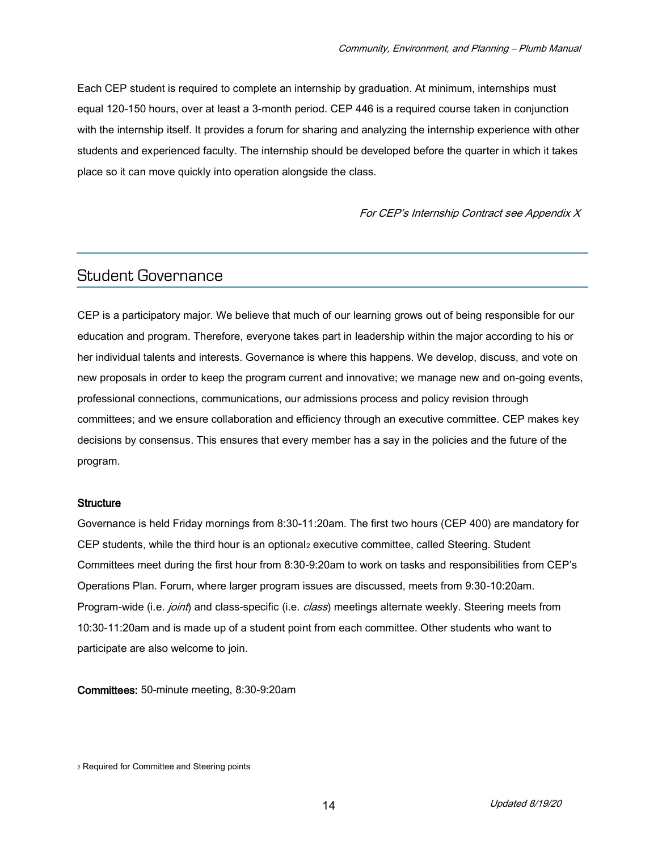Each CEP student is required to complete an internship by graduation. At minimum, internships must equal 120-150 hours, over at least a 3-month period. CEP 446 is a required course taken in conjunction with the internship itself. It provides a forum for sharing and analyzing the internship experience with other students and experienced faculty. The internship should be developed before the quarter in which it takes place so it can move quickly into operation alongside the class.

For CEP's Internship Contract see Appendix X

### Student Governance

CEP is a participatory major. We believe that much of our learning grows out of being responsible for our education and program. Therefore, everyone takes part in leadership within the major according to his or her individual talents and interests. Governance is where this happens. We develop, discuss, and vote on new proposals in order to keep the program current and innovative; we manage new and on-going events, professional connections, communications, our admissions process and policy revision through committees; and we ensure collaboration and efficiency through an executive committee. CEP makes key decisions by consensus. This ensures that every member has a say in the policies and the future of the program.

#### **Structure**

Governance is held Friday mornings from 8:30-11:20am. The first two hours (CEP 400) are mandatory for CEP students, while the third hour is an optional<sup>2</sup> executive committee, called Steering. Student Committees meet during the first hour from 8:30-9:20am to work on tasks and responsibilities from CEP's Operations Plan. Forum, where larger program issues are discussed, meets from 9:30-10:20am. Program-wide (i.e. *joint*) and class-specific (i.e. *class*) meetings alternate weekly. Steering meets from 10:30-11:20am and is made up of a student point from each committee. Other students who want to participate are also welcome to join.

Committees: 50-minute meeting, 8:30-9:20am

<sup>2</sup> Required for Committee and Steering points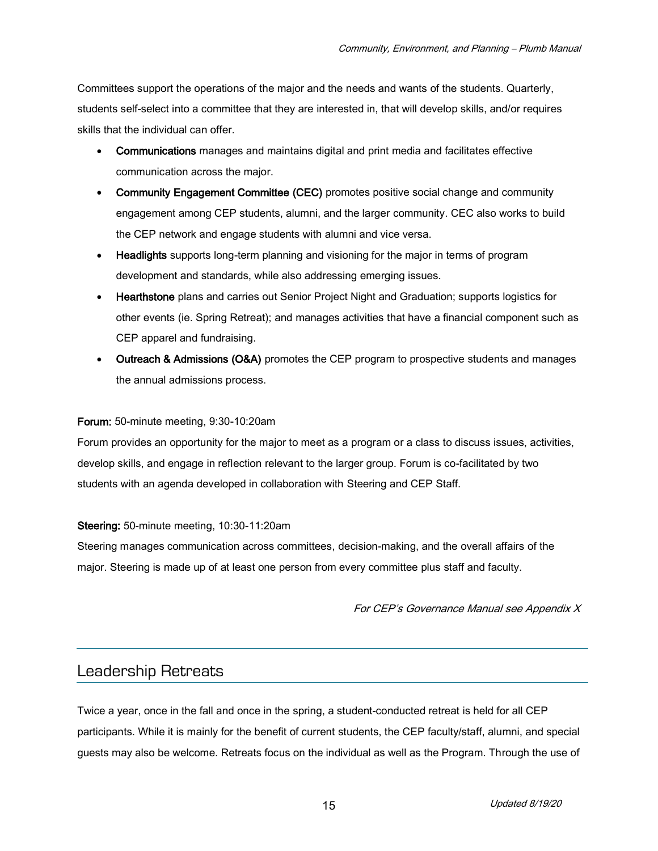Committees support the operations of the major and the needs and wants of the students. Quarterly, students self-select into a committee that they are interested in, that will develop skills, and/or requires skills that the individual can offer.

- Communications manages and maintains digital and print media and facilitates effective communication across the major.
- Community Engagement Committee (CEC) promotes positive social change and community engagement among CEP students, alumni, and the larger community. CEC also works to build the CEP network and engage students with alumni and vice versa.
- Headlights supports long-term planning and visioning for the major in terms of program development and standards, while also addressing emerging issues.
- Hearthstone plans and carries out Senior Project Night and Graduation; supports logistics for other events (ie. Spring Retreat); and manages activities that have a financial component such as CEP apparel and fundraising.
- Outreach & Admissions (O&A) promotes the CEP program to prospective students and manages the annual admissions process.

#### Forum: 50-minute meeting, 9:30-10:20am

Forum provides an opportunity for the major to meet as a program or a class to discuss issues, activities, develop skills, and engage in reflection relevant to the larger group. Forum is co-facilitated by two students with an agenda developed in collaboration with Steering and CEP Staff.

#### Steering: 50-minute meeting, 10:30-11:20am

Steering manages communication across committees, decision-making, and the overall affairs of the major. Steering is made up of at least one person from every committee plus staff and faculty.

For CEP's Governance Manual see Appendix X

### Leadership Retreats

Twice a year, once in the fall and once in the spring, a student-conducted retreat is held for all CEP participants. While it is mainly for the benefit of current students, the CEP faculty/staff, alumni, and special guests may also be welcome. Retreats focus on the individual as well as the Program. Through the use of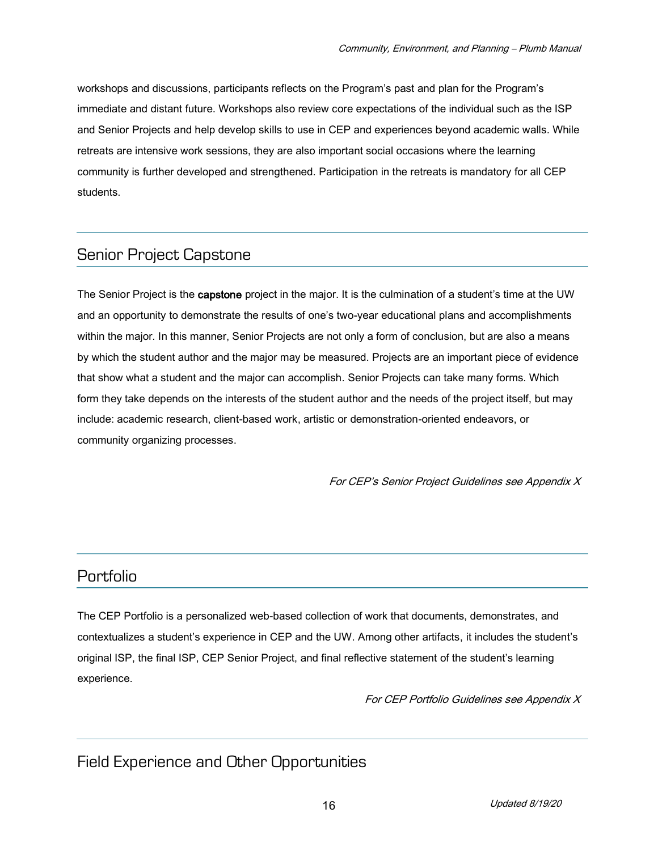workshops and discussions, participants reflects on the Program's past and plan for the Program's immediate and distant future. Workshops also review core expectations of the individual such as the ISP and Senior Projects and help develop skills to use in CEP and experiences beyond academic walls. While retreats are intensive work sessions, they are also important social occasions where the learning community is further developed and strengthened. Participation in the retreats is mandatory for all CEP students.

## Senior Project Capstone

The Senior Project is the capstone project in the major. It is the culmination of a student's time at the UW and an opportunity to demonstrate the results of one's two-year educational plans and accomplishments within the major. In this manner, Senior Projects are not only a form of conclusion, but are also a means by which the student author and the major may be measured. Projects are an important piece of evidence that show what a student and the major can accomplish. Senior Projects can take many forms. Which form they take depends on the interests of the student author and the needs of the project itself, but may include: academic research, client-based work, artistic or demonstration-oriented endeavors, or community organizing processes.

For CEP's Senior Project Guidelines see Appendix X

## Portfolio

The CEP Portfolio is a personalized web-based collection of work that documents, demonstrates, and contextualizes a student's experience in CEP and the UW. Among other artifacts, it includes the student's original ISP, the final ISP, CEP Senior Project, and final reflective statement of the student's learning experience.

For CEP Portfolio Guidelines see Appendix X

## Field Experience and Other Opportunities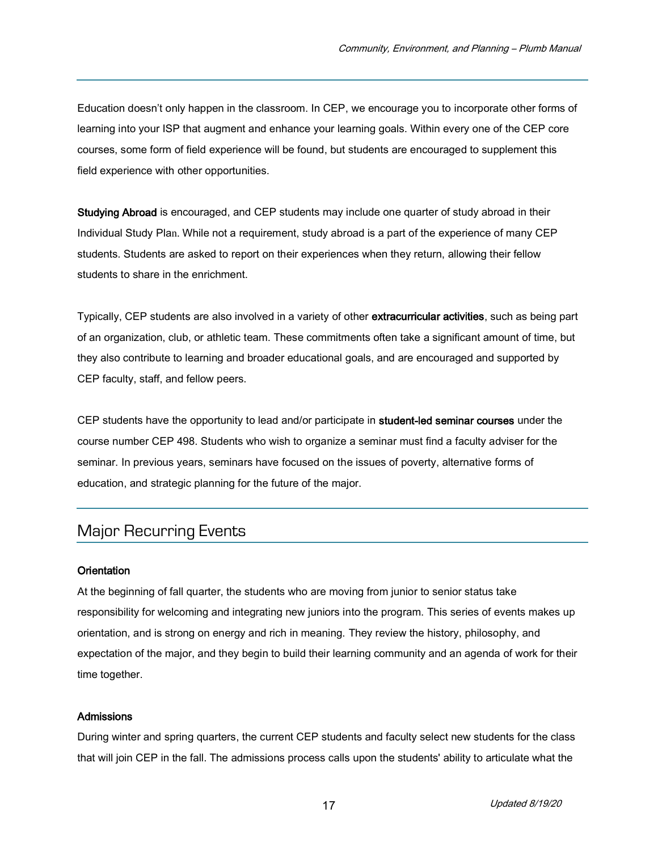Education doesn't only happen in the classroom. In CEP, we encourage you to incorporate other forms of learning into your ISP that augment and enhance your learning goals. Within every one of the CEP core courses, some form of field experience will be found, but students are encouraged to supplement this field experience with other opportunities.

Studying Abroad is encouraged, and CEP students may include one quarter of study abroad in their Individual Study Plan. While not a requirement, study abroad is a part of the experience of many CEP students. Students are asked to report on their experiences when they return, allowing their fellow students to share in the enrichment.

Typically, CEP students are also involved in a variety of other extracurricular activities, such as being part of an organization, club, or athletic team. These commitments often take a significant amount of time, but they also contribute to learning and broader educational goals, and are encouraged and supported by CEP faculty, staff, and fellow peers.

CEP students have the opportunity to lead and/or participate in student-led seminar courses under the course number CEP 498. Students who wish to organize a seminar must find a faculty adviser for the seminar. In previous years, seminars have focused on the issues of poverty, alternative forms of education, and strategic planning for the future of the major.

## Major Recurring Events

#### **Orientation**

At the beginning of fall quarter, the students who are moving from junior to senior status take responsibility for welcoming and integrating new juniors into the program. This series of events makes up orientation, and is strong on energy and rich in meaning. They review the history, philosophy, and expectation of the major, and they begin to build their learning community and an agenda of work for their time together.

#### **Admissions**

During winter and spring quarters, the current CEP students and faculty select new students for the class that will join CEP in the fall. The admissions process calls upon the students' ability to articulate what the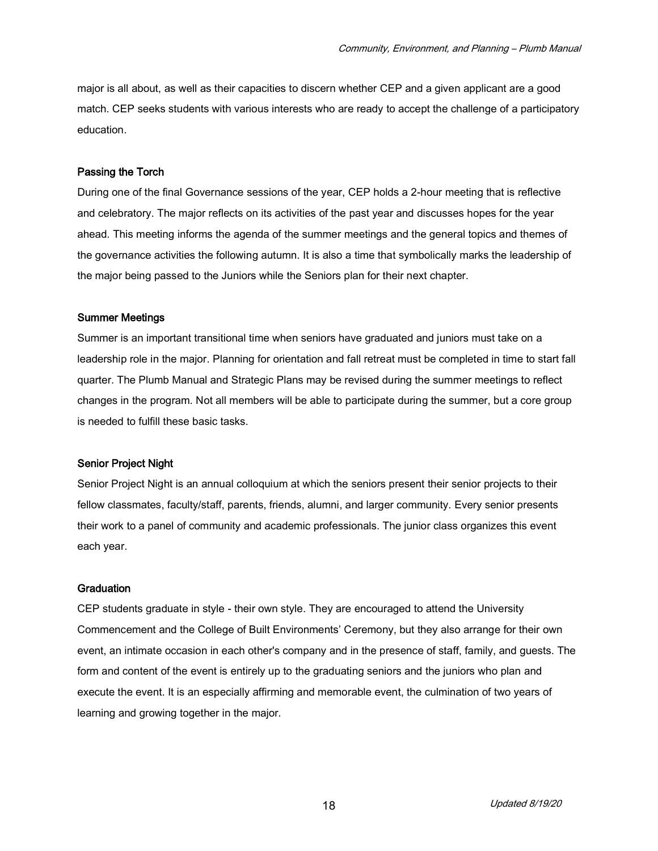major is all about, as well as their capacities to discern whether CEP and a given applicant are a good match. CEP seeks students with various interests who are ready to accept the challenge of a participatory education.

#### Passing the Torch

During one of the final Governance sessions of the year, CEP holds a 2-hour meeting that is reflective and celebratory. The major reflects on its activities of the past year and discusses hopes for the year ahead. This meeting informs the agenda of the summer meetings and the general topics and themes of the governance activities the following autumn. It is also a time that symbolically marks the leadership of the major being passed to the Juniors while the Seniors plan for their next chapter.

#### Summer Meetings

Summer is an important transitional time when seniors have graduated and juniors must take on a leadership role in the major. Planning for orientation and fall retreat must be completed in time to start fall quarter. The Plumb Manual and Strategic Plans may be revised during the summer meetings to reflect changes in the program. Not all members will be able to participate during the summer, but a core group is needed to fulfill these basic tasks.

#### Senior Project Night

Senior Project Night is an annual colloquium at which the seniors present their senior projects to their fellow classmates, faculty/staff, parents, friends, alumni, and larger community. Every senior presents their work to a panel of community and academic professionals. The junior class organizes this event each year.

#### **Graduation**

CEP students graduate in style - their own style. They are encouraged to attend the University Commencement and the College of Built Environments' Ceremony, but they also arrange for their own event, an intimate occasion in each other's company and in the presence of staff, family, and guests. The form and content of the event is entirely up to the graduating seniors and the juniors who plan and execute the event. It is an especially affirming and memorable event, the culmination of two years of learning and growing together in the major.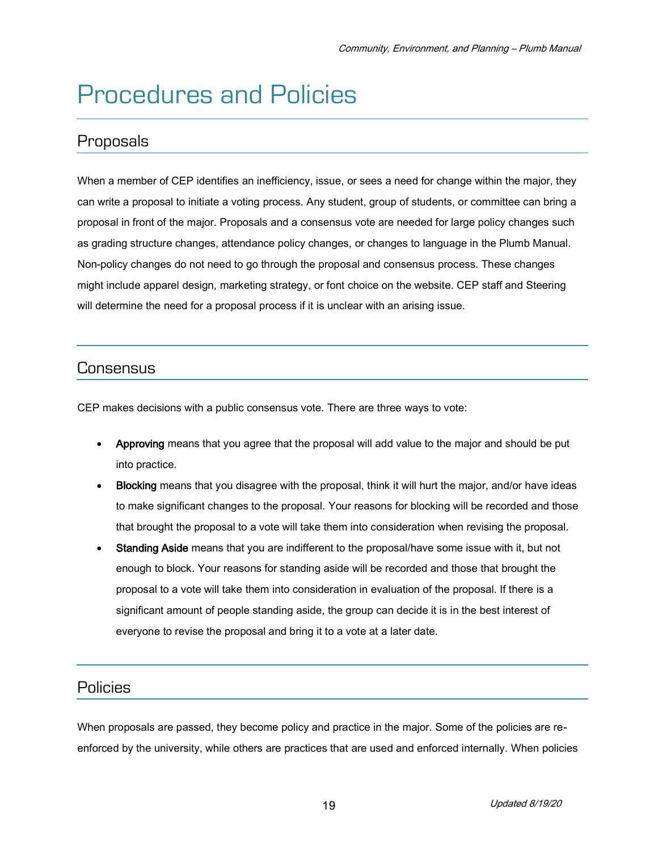## Procedures and Policies

## Proposals

When a member of CEP identifies an inefficiency, issue, or sees a need for change within the major, they can write a proposal to initiate a voting process. Any student, group of students, or committee can bring a proposal in front of the major. Proposals and a consensus vote are needed for large policy changes such as grading structure changes, attendance policy changes, or changes to language in the Plumb Manual. Non-policy changes do not need to go through the proposal and consensus process. These changes might include apparel design, marketing strategy, or font choice on the website. CEP staff and Steering will determine the need for a proposal process if it is unclear with an arising issue.

## **Consensus**

CEP makes decisions with a public consensus vote. There are three ways to vote:

- Approving means that you agree that the proposal will add value to the major and should be put into practice.
- Blocking means that you disagree with the proposal, think it will hurt the major, and/or have ideas to make significant changes to the proposal. Your reasons for blocking will be recorded and those that brought the proposal to a vote will take them into consideration when revising the proposal.
- Standing Aside means that you are indifferent to the proposal/have some issue with it, but not enough to block. Your reasons for standing aside will be recorded and those that brought the proposal to a vote will take them into consideration in evaluation of the proposal. If there is a significant amount of people standing aside, the group can decide it is in the best interest of everyone to revise the proposal and bring it to a vote at a later date.

## Policies

When proposals are passed, they become policy and practice in the major. Some of the policies are reenforced by the university, while others are practices that are used and enforced internally. When policies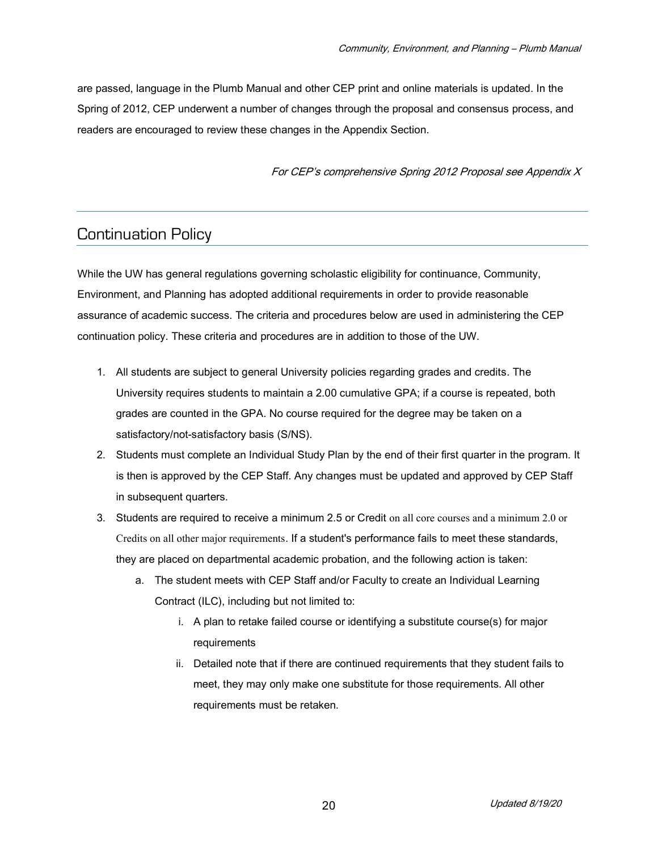are passed, language in the Plumb Manual and other CEP print and online materials is updated. In the Spring of 2012, CEP underwent a number of changes through the proposal and consensus process, and readers are encouraged to review these changes in the Appendix Section.

For CEP's comprehensive Spring 2012 Proposal see Appendix X

## Continuation Policy

While the UW has general regulations governing scholastic eligibility for continuance, Community, Environment, and Planning has adopted additional requirements in order to provide reasonable assurance of academic success. The criteria and procedures below are used in administering the CEP continuation policy. These criteria and procedures are in addition to those of the UW.

- 1. All students are subject to general University policies regarding grades and credits. The University requires students to maintain a 2.00 cumulative GPA; if a course is repeated, both grades are counted in the GPA. No course required for the degree may be taken on a satisfactory/not-satisfactory basis (S/NS).
- 2. Students must complete an Individual Study Plan by the end of their first quarter in the program. It is then is approved by the CEP Staff. Any changes must be updated and approved by CEP Staff in subsequent quarters.
- 3. Students are required to receive a minimum 2.5 or Credit on all core courses and a minimum 2.0 or Credits on all other major requirements. If a student's performance fails to meet these standards, they are placed on departmental academic probation, and the following action is taken:
	- a. The student meets with CEP Staff and/or Faculty to create an Individual Learning Contract (ILC), including but not limited to:
		- i. A plan to retake failed course or identifying a substitute course(s) for major requirements
		- ii. Detailed note that if there are continued requirements that they student fails to meet, they may only make one substitute for those requirements. All other requirements must be retaken.